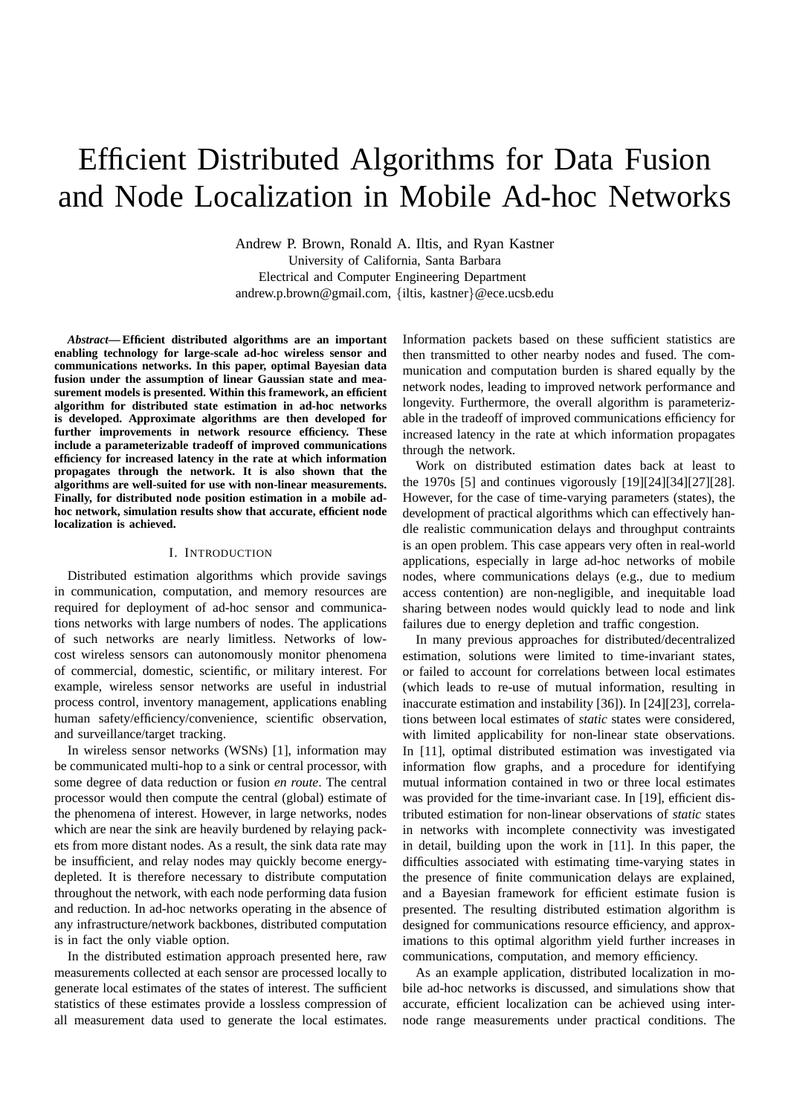# Efficient Distributed Algorithms for Data Fusion and Node Localization in Mobile Ad-hoc Networks

Andrew P. Brown, Ronald A. Iltis, and Ryan Kastner University of California, Santa Barbara Electrical and Computer Engineering Department andrew.p.brown@gmail.com, {iltis, kastner}@ece.ucsb.edu

*Abstract***— Efficient distributed algorithms are an important enabling technology for large-scale ad-hoc wireless sensor and communications networks. In this paper, optimal Bayesian data fusion under the assumption of linear Gaussian state and measurement models is presented. Within this framework, an efficient algorithm for distributed state estimation in ad-hoc networks is developed. Approximate algorithms are then developed for further improvements in network resource efficiency. These include a parameterizable tradeoff of improved communications efficiency for increased latency in the rate at which information propagates through the network. It is also shown that the algorithms are well-suited for use with non-linear measurements. Finally, for distributed node position estimation in a mobile adhoc network, simulation results show that accurate, efficient node localization is achieved.**

#### I. INTRODUCTION

Distributed estimation algorithms which provide savings in communication, computation, and memory resources are required for deployment of ad-hoc sensor and communications networks with large numbers of nodes. The applications of such networks are nearly limitless. Networks of lowcost wireless sensors can autonomously monitor phenomena of commercial, domestic, scientific, or military interest. For example, wireless sensor networks are useful in industrial process control, inventory management, applications enabling human safety/efficiency/convenience, scientific observation, and surveillance/target tracking.

In wireless sensor networks (WSNs) [1], information may be communicated multi-hop to a sink or central processor, with some degree of data reduction or fusion *en route*. The central processor would then compute the central (global) estimate of the phenomena of interest. However, in large networks, nodes which are near the sink are heavily burdened by relaying packets from more distant nodes. As a result, the sink data rate may be insufficient, and relay nodes may quickly become energydepleted. It is therefore necessary to distribute computation throughout the network, with each node performing data fusion and reduction. In ad-hoc networks operating in the absence of any infrastructure/network backbones, distributed computation is in fact the only viable option.

In the distributed estimation approach presented here, raw measurements collected at each sensor are processed locally to generate local estimates of the states of interest. The sufficient statistics of these estimates provide a lossless compression of all measurement data used to generate the local estimates. Information packets based on these sufficient statistics are then transmitted to other nearby nodes and fused. The communication and computation burden is shared equally by the network nodes, leading to improved network performance and longevity. Furthermore, the overall algorithm is parameterizable in the tradeoff of improved communications efficiency for increased latency in the rate at which information propagates through the network.

Work on distributed estimation dates back at least to the 1970s [5] and continues vigorously [19][24][34][27][28]. However, for the case of time-varying parameters (states), the development of practical algorithms which can effectively handle realistic communication delays and throughput contraints is an open problem. This case appears very often in real-world applications, especially in large ad-hoc networks of mobile nodes, where communications delays (e.g., due to medium access contention) are non-negligible, and inequitable load sharing between nodes would quickly lead to node and link failures due to energy depletion and traffic congestion.

In many previous approaches for distributed/decentralized estimation, solutions were limited to time-invariant states, or failed to account for correlations between local estimates (which leads to re-use of mutual information, resulting in inaccurate estimation and instability [36]). In [24][23], correlations between local estimates of *static* states were considered, with limited applicability for non-linear state observations. In [11], optimal distributed estimation was investigated via information flow graphs, and a procedure for identifying mutual information contained in two or three local estimates was provided for the time-invariant case. In [19], efficient distributed estimation for non-linear observations of *static* states in networks with incomplete connectivity was investigated in detail, building upon the work in [11]. In this paper, the difficulties associated with estimating time-varying states in the presence of finite communication delays are explained, and a Bayesian framework for efficient estimate fusion is presented. The resulting distributed estimation algorithm is designed for communications resource efficiency, and approximations to this optimal algorithm yield further increases in communications, computation, and memory efficiency.

As an example application, distributed localization in mobile ad-hoc networks is discussed, and simulations show that accurate, efficient localization can be achieved using internode range measurements under practical conditions. The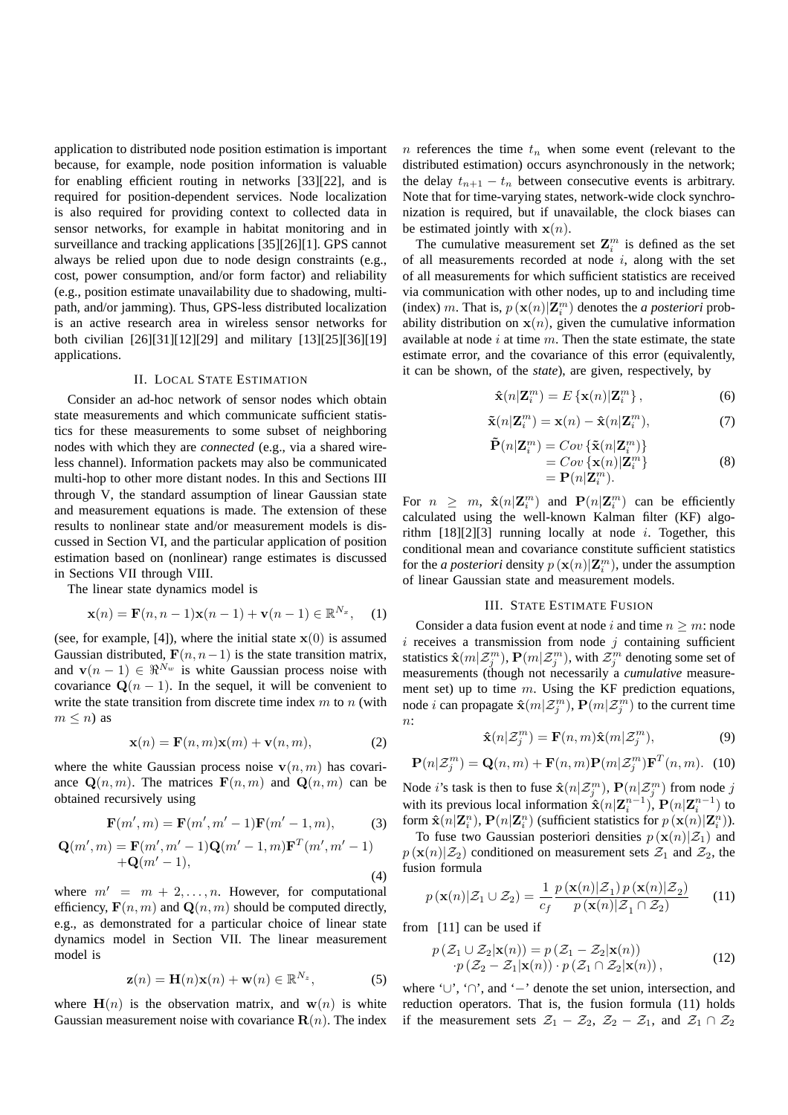application to distributed node position estimation is important because, for example, node position information is valuable for enabling efficient routing in networks [33][22], and is required for position-dependent services. Node localization is also required for providing context to collected data in sensor networks, for example in habitat monitoring and in surveillance and tracking applications [35][26][1]. GPS cannot always be relied upon due to node design constraints (e.g., cost, power consumption, and/or form factor) and reliability (e.g., position estimate unavailability due to shadowing, multipath, and/or jamming). Thus, GPS-less distributed localization is an active research area in wireless sensor networks for both civilian [26][31][12][29] and military [13][25][36][19] applications.

## II. LOCAL STATE ESTIMATION

Consider an ad-hoc network of sensor nodes which obtain state measurements and which communicate sufficient statistics for these measurements to some subset of neighboring nodes with which they are *connected* (e.g., via a shared wireless channel). Information packets may also be communicated multi-hop to other more distant nodes. In this and Sections III through V, the standard assumption of linear Gaussian state and measurement equations is made. The extension of these results to nonlinear state and/or measurement models is discussed in Section VI, and the particular application of position estimation based on (nonlinear) range estimates is discussed in Sections VII through VIII.

The linear state dynamics model is

$$
\mathbf{x}(n) = \mathbf{F}(n, n-1)\mathbf{x}(n-1) + \mathbf{v}(n-1) \in \mathbb{R}^{N_x}, \quad (1)
$$

(see, for example, [4]), where the initial state  $\mathbf{x}(0)$  is assumed Gaussian distributed,  $\mathbf{F}(n, n-1)$  is the state transition matrix, and  $\mathbf{v}(n-1) \in \Re^{N_w}$  is white Gaussian process noise with covariance  $\mathbf{Q}(n-1)$ . In the sequel, it will be convenient to write the state transition from discrete time index  $m$  to  $n$  (with  $m \leq n$ ) as

$$
\mathbf{x}(n) = \mathbf{F}(n, m)\mathbf{x}(m) + \mathbf{v}(n, m),\tag{2}
$$

where the white Gaussian process noise  $\mathbf{v}(n,m)$  has covariance  $\mathbf{Q}(n,m)$ . The matrices  $\mathbf{F}(n,m)$  and  $\mathbf{Q}(n,m)$  can be obtained recursively using

$$
\mathbf{F}(m',m) = \mathbf{F}(m',m'-1)\mathbf{F}(m'-1,m),\tag{3}
$$

$$
\mathbf{Q}(m',m) = \mathbf{F}(m',m'-1)\mathbf{Q}(m'-1,m)\mathbf{F}^T(m',m'-1) + \mathbf{Q}(m'-1),
$$
\n(4)

where  $m' = m + 2, \ldots, n$ . However, for computational efficiency,  $\mathbf{F}(n, m)$  and  $\mathbf{Q}(n, m)$  should be computed directly, e.g., as demonstrated for a particular choice of linear state dynamics model in Section VII. The linear measurement model is

$$
\mathbf{z}(n) = \mathbf{H}(n)\mathbf{x}(n) + \mathbf{w}(n) \in \mathbb{R}^{N_z},
$$
 (5)

where  $H(n)$  is the observation matrix, and  $w(n)$  is white Gaussian measurement noise with covariance  $\mathbf{R}(n)$ . The index

 $n$  references the time  $t_n$  when some event (relevant to the distributed estimation) occurs asynchronously in the network; the delay  $t_{n+1} - t_n$  between consecutive events is arbitrary. Note that for time-varying states, network-wide clock synchronization is required, but if unavailable, the clock biases can be estimated jointly with  $x(n)$ .

The cumulative measurement set  $\mathbf{Z}_i^m$  is defined as the set of all measurements recorded at node  $i$ , along with the set of all measurements for which sufficient statistics are received via communication with other nodes, up to and including time (index) m. That is,  $p(\mathbf{x}(n)|\mathbf{Z}_{i}^{m})$  denotes the *a posteriori* probability distribution on  $x(n)$ , given the cumulative information available at node  $i$  at time  $m$ . Then the state estimate, the state estimate error, and the covariance of this error (equivalently, it can be shown, of the *state*), are given, respectively, by

$$
\hat{\mathbf{x}}(n|\mathbf{Z}_i^m) = E\left\{ \mathbf{x}(n)|\mathbf{Z}_i^m \right\},\tag{6}
$$

$$
\tilde{\mathbf{x}}(n|\mathbf{Z}_i^m) = \mathbf{x}(n) - \hat{\mathbf{x}}(n|\mathbf{Z}_i^m),\tag{7}
$$

$$
|\mathbf{Z}_{i}^{m}\rangle = Cov\left\{\tilde{\mathbf{x}}(n|\mathbf{Z}_{i}^{m})\right\}
$$
  
= Cov\left\{\mathbf{x}(n)|\mathbf{Z}\_{i}^{m}\right\}  
= \mathbf{P}(n|\mathbf{Z}\_{i}^{m}). \t(8)

For  $n \geq m$ ,  $\hat{\mathbf{x}}(n|\mathbf{Z}_{i}^{m})$  and  $\mathbf{P}(n|\mathbf{Z}_{i}^{m})$  can be efficiently calculated using the well-known Kalman filter (KF) algorithm  $[18][2][3]$  running locally at node *i*. Together, this conditional mean and covariance constitute sufficient statistics for the *a posteriori* density  $p(\mathbf{x}(n)|\mathbf{Z}_{i}^{m})$ , under the assumption of linear Gaussian state and measurement models.

 $\tilde{\mathbf{P}}(r)$ 

## III. STATE ESTIMATE FUSION

Consider a data fusion event at node i and time  $n \geq m$ : node  $i$  receives a transmission from node  $j$  containing sufficient statistics  $\mathbf{\hat{x}}(m | \mathcal{Z}_j^m)$ ,  $\mathbf{P}(m | \mathcal{Z}_j^m)$ , with  $\mathcal{Z}_j^m$  denoting some set of measurements (though not necessarily a *cumulative* measurement set) up to time  $m$ . Using the KF prediction equations, node *i* can propagate  $\hat{\mathbf{x}}(m | \mathcal{Z}_j^m)$ ,  $\mathbf{P}(m | \mathcal{Z}_j^m)$  to the current time n:

$$
\hat{\mathbf{x}}(n|\mathcal{Z}_j^m) = \mathbf{F}(n,m)\hat{\mathbf{x}}(m|\mathcal{Z}_j^m),\tag{9}
$$

$$
\mathbf{P}(n|\mathcal{Z}_j^m) = \mathbf{Q}(n,m) + \mathbf{F}(n,m)\mathbf{P}(m|\mathcal{Z}_j^m)\mathbf{F}^T(n,m).
$$
 (10)

Node *i*'s task is then to fuse  $\hat{\mathbf{x}}(n|\mathcal{Z}_j^m)$ ,  $\mathbf{P}(n|\mathcal{Z}_j^m)$  from node *j* with its previous local information  $\hat{\mathbf{x}}(n|\mathbf{Z}_i^{n-1})$ ,  $\mathbf{P}(n|\mathbf{Z}_i^{n-1})$  to form  $\mathbf{\hat{x}}(n|\mathbf{Z}_i^n)$ ,  $\mathbf{P}(n|\mathbf{Z}_i^n)$  (sufficient statistics for  $p(\mathbf{x}(n)|\mathbf{Z}_i^n)$ ).

To fuse two Gaussian posteriori densities  $p(\mathbf{x}(n)|\mathcal{Z}_1)$  and  $p(\mathbf{x}(n)|\mathcal{Z}_2)$  conditioned on measurement sets  $\mathcal{Z}_1$  and  $\mathcal{Z}_2$ , the fusion formula

$$
p(\mathbf{x}(n)|\mathcal{Z}_1 \cup \mathcal{Z}_2) = \frac{1}{c_f} \frac{p(\mathbf{x}(n)|\mathcal{Z}_1) p(\mathbf{x}(n)|\mathcal{Z}_2)}{p(\mathbf{x}(n)|\mathcal{Z}_1 \cap \mathcal{Z}_2)} \tag{11}
$$

from [11] can be used if

$$
p(\mathcal{Z}_1 \cup \mathcal{Z}_2 | \mathbf{x}(n)) = p(\mathcal{Z}_1 - \mathcal{Z}_2 | \mathbf{x}(n))
$$
  
\n
$$
p(\mathcal{Z}_2 - \mathcal{Z}_1 | \mathbf{x}(n)) \cdot p(\mathcal{Z}_1 \cap \mathcal{Z}_2 | \mathbf{x}(n)),
$$
\n(12)

where '∪', '∩', and '−' denote the set union, intersection, and reduction operators. That is, the fusion formula (11) holds if the measurement sets  $\mathcal{Z}_1 - \mathcal{Z}_2$ ,  $\mathcal{Z}_2 - \mathcal{Z}_1$ , and  $\mathcal{Z}_1 \cap \mathcal{Z}_2$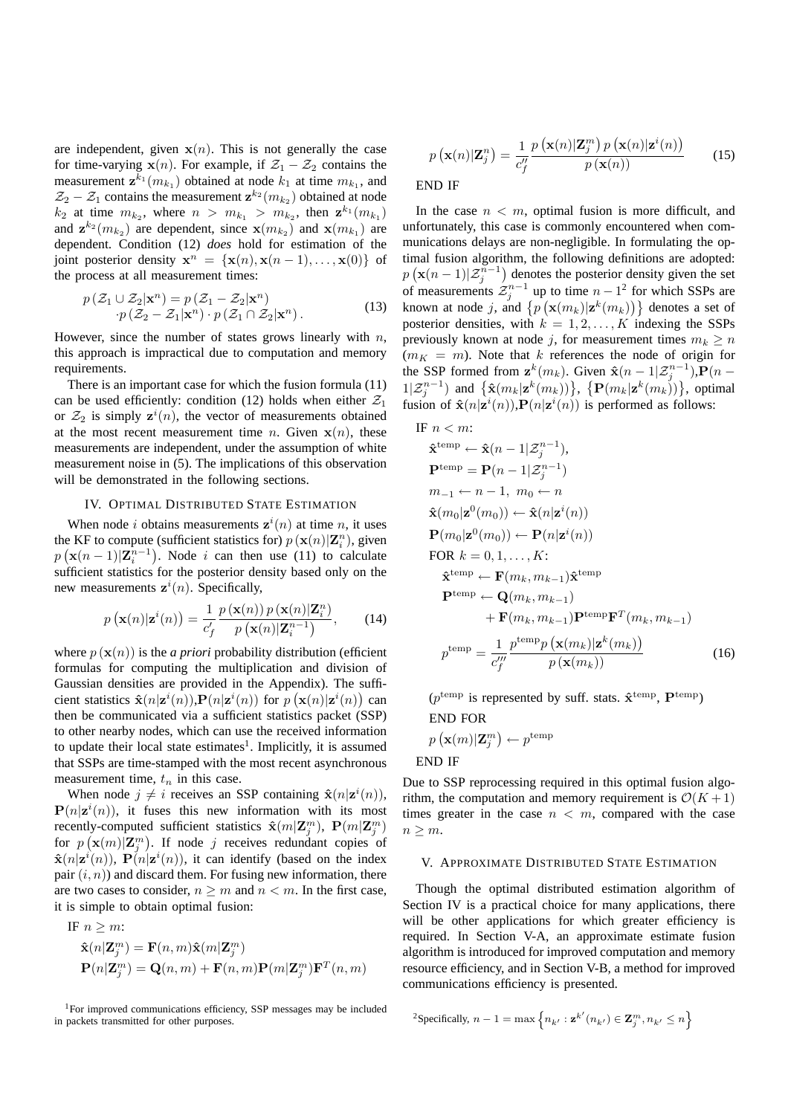are independent, given  $x(n)$ . This is not generally the case for time-varying  $\mathbf{x}(n)$ . For example, if  $\mathcal{Z}_1 - \mathcal{Z}_2$  contains the measurement  $\mathbf{z}^{k_1}(m_{k_1})$  obtained at node  $k_1$  at time  $m_{k_1}$ , and  $\mathcal{Z}_2 - \mathcal{Z}_1$  contains the measurement  $\mathbf{z}^{k_2}(m_{k_2})$  obtained at node  $k_2$  at time  $m_{k_2}$ , where  $n > m_{k_1} > m_{k_2}$ , then  $\mathbf{z}^{k_1}(m_{k_1})$ and  $\mathbf{z}^{k_2}(m_{k_2})$  are dependent, since  $\mathbf{x}(m_{k_2})$  and  $\mathbf{x}(m_{k_1})$  are dependent. Condition (12) *does* hold for estimation of the joint posterior density  $\mathbf{x}^n = {\mathbf{x}(n), \mathbf{x}(n-1), \dots, \mathbf{x}(0)}$  of the process at all measurement times:

$$
p(\mathcal{Z}_1 \cup \mathcal{Z}_2 | \mathbf{x}^n) = p(\mathcal{Z}_1 - \mathcal{Z}_2 | \mathbf{x}^n) \cdot p(\mathcal{Z}_2 - \mathcal{Z}_1 | \mathbf{x}^n) \cdot p(\mathcal{Z}_1 \cap \mathcal{Z}_2 | \mathbf{x}^n).
$$
\n(13)

However, since the number of states grows linearly with  $n$ , this approach is impractical due to computation and memory requirements.

There is an important case for which the fusion formula (11) can be used efficiently: condition (12) holds when either  $\mathcal{Z}_1$ or  $\mathcal{Z}_2$  is simply  $\mathbf{z}^i(n)$ , the vector of measurements obtained at the most recent measurement time *n*. Given  $x(n)$ , these measurements are independent, under the assumption of white measurement noise in (5). The implications of this observation will be demonstrated in the following sections.

#### IV. OPTIMAL DISTRIBUTED STATE ESTIMATION

When node *i* obtains measurements  $z^{i}(n)$  at time *n*, it uses the KF to compute (sufficient statistics for)  $p(\mathbf{x}(n)|\mathbf{Z}_{i}^{n})$ , given  $p(\mathbf{x}(n-1)|\mathbf{Z}_{i}^{n-1})$ . Node i can then use (11) to calculate sufficient statistics for the posterior density based only on the new measurements  $\mathbf{z}^{i}(n)$ . Specifically,

$$
p\left(\mathbf{x}(n)|\mathbf{z}^i(n)\right) = \frac{1}{c_f'} \frac{p\left(\mathbf{x}(n)\right)p\left(\mathbf{x}(n)|\mathbf{Z}_i^n\right)}{p\left(\mathbf{x}(n)|\mathbf{Z}_i^{n-1}\right)},\qquad(14)
$$

where  $p(\mathbf{x}(n))$  is the *a priori* probability distribution (efficient formulas for computing the multiplication and division of Gaussian densities are provided in the Appendix). The sufficient statistics  $\hat{\mathbf{x}}(n|\mathbf{z}^i(n))$ ,  $\mathbf{P}(n|\mathbf{z}^i(n))$  for  $p(\mathbf{x}(n)|\mathbf{z}^i(n))$  can then be communicated via a sufficient statistics packet (SSP) to other nearby nodes, which can use the received information to update their local state estimates<sup>1</sup>. Implicitly, it is assumed that SSPs are time-stamped with the most recent asynchronous measurement time,  $t_n$  in this case.

When node  $j \neq i$  receives an SSP containing  $\hat{\mathbf{x}}(n|\mathbf{z}^i(n))$ ,  $P(n|z^i(n))$ , it fuses this new information with its most recently-computed sufficient statistics  $\hat{\mathbf{x}}(m|\mathbf{Z}_{j}^{m}), \ \mathbf{P}(m|\mathbf{Z}_{j}^{m})$ for  $p(\mathbf{x}(m)|\mathbf{Z}_{j}^{m})$ . If node j receives redundant copies of  $\hat{\mathbf{x}}(n|\mathbf{z}^i(n))$ ,  $\mathbf{P}(n|\mathbf{z}^i(n))$ , it can identify (based on the index pair  $(i, n)$ ) and discard them. For fusing new information, there are two cases to consider,  $n \ge m$  and  $n \le m$ . In the first case, it is simple to obtain optimal fusion:

IF 
$$
n \ge m
$$
:  
\n
$$
\hat{\mathbf{x}}(n|\mathbf{Z}_{j}^{m}) = \mathbf{F}(n, m)\hat{\mathbf{x}}(m|\mathbf{Z}_{j}^{m})
$$
\n
$$
\mathbf{P}(n|\mathbf{Z}_{j}^{m}) = \mathbf{Q}(n, m) + \mathbf{F}(n, m)\mathbf{P}(m|\mathbf{Z}_{j}^{m})\mathbf{F}^{T}(n, m)
$$

<sup>1</sup>For improved communications efficiency, SSP messages may be included in packets transmitted for other purposes.

$$
p\left(\mathbf{x}(n)|\mathbf{Z}_{j}^{n}\right) = \frac{1}{c_{f}^{"}}\frac{p\left(\mathbf{x}(n)|\mathbf{Z}_{j}^{m}\right)p\left(\mathbf{x}(n)|\mathbf{z}^{i}(n)\right)}{p\left(\mathbf{x}(n)\right)}\tag{15}
$$

END IF

In the case  $n < m$ , optimal fusion is more difficult, and unfortunately, this case is commonly encountered when communications delays are non-negligible. In formulating the optimal fusion algorithm, the following definitions are adopted:  $p(\mathbf{x}(n-1)|\mathcal{Z}_j^{n-1})$  denotes the posterior density given the set of measurements  $\mathcal{Z}_j^{n-1}$  up to time  $n-1^2$  for which SSPs are known at node j, and  $\{p(\mathbf{x}(m_k)|\mathbf{z}^k(m_k))\}$  denotes a set of posterior densities, with  $k = 1, 2, \dots, K$  indexing the SSPs previously known at node j, for measurement times  $m_k \geq n$  $(m<sub>K</sub> = m)$ . Note that k references the node of origin for the SSP formed from  $\mathbf{z}^k(m_k)$ . Given  $\hat{\mathbf{x}}(n-1|\mathcal{Z}_j^{n-1}), \mathbf{P}(n-1)$  $1|\mathcal{Z}_j^{n-1})$  and  $\{\hat{\mathbf{x}}(m_k|\mathbf{z}^k(m_k))\},\ \{\mathbf{P}(m_k|\mathbf{z}^k(m_k))\},\$  optimal fusion of  $\hat{\mathbf{x}}(n|\mathbf{z}^i(n))$ ,  $\mathbf{P}(n|\mathbf{z}^i(n))$  is performed as follows:

$$
\mathbf{IF} \ n < m: \\
\hat{\mathbf{x}}^{temp} \leftarrow \hat{\mathbf{x}}(n-1|\mathcal{Z}_{j}^{n-1}), \\
\mathbf{P}^{temp} = \mathbf{P}(n-1|\mathcal{Z}_{j}^{n-1}) \\
m_{-1} \leftarrow n-1, \ m_{0} \leftarrow n \\
\hat{\mathbf{x}}(m_{0}|\mathbf{z}^{0}(m_{0})) \leftarrow \hat{\mathbf{x}}(n|\mathbf{z}^{i}(n)) \\
\mathbf{P}(m_{0}|\mathbf{z}^{0}(m_{0})) \leftarrow \mathbf{P}(n|\mathbf{z}^{i}(n)) \\
\text{FOR } k = 0, 1, \dots, K: \\
\hat{\mathbf{x}}^{temp} \leftarrow \mathbf{F}(m_{k}, m_{k-1})\hat{\mathbf{x}}^{temp} \\
\mathbf{P}^{temp} \leftarrow \mathbf{Q}(m_{k}, m_{k-1}) \\
+ \mathbf{F}(m_{k}, m_{k-1})\mathbf{P}^{temp}\mathbf{F}^{T}(m_{k}, m_{k-1}) \\
p^{temp} = \frac{1}{c_{j}^{\prime\prime}}\frac{p^{temp}p\left(\mathbf{x}(m_{k})|\mathbf{z}^{k}(m_{k})\right)}{p\left(\mathbf{x}(m_{k})\right)}\n\tag{16}
$$

 $(p^{\text{temp}}$  is represented by suff. stats.  $\hat{\mathbf{x}}^{\text{temp}}, \mathbf{P}^{\text{temp}})$ END FOR

$$
p\left(\mathbf{x}(m)|\mathbf{Z}_{j}^{m}\right) \leftarrow p^{\text{temp}}
$$

END IF

Due to SSP reprocessing required in this optimal fusion algorithm, the computation and memory requirement is  $\mathcal{O}(K+1)$ times greater in the case  $n < m$ , compared with the case  $n \geq m$ .

## V. APPROXIMATE DISTRIBUTED STATE ESTIMATION

Though the optimal distributed estimation algorithm of Section IV is a practical choice for many applications, there will be other applications for which greater efficiency is required. In Section V-A, an approximate estimate fusion algorithm is introduced for improved computation and memory resource efficiency, and in Section V-B, a method for improved communications efficiency is presented.

<sup>2</sup>Specifically, 
$$
n - 1 = \max \left\{ n_{k'} : \mathbf{z}^{k'}(n_{k'}) \in \mathbf{Z}_j^m, n_{k'} \leq n \right\}
$$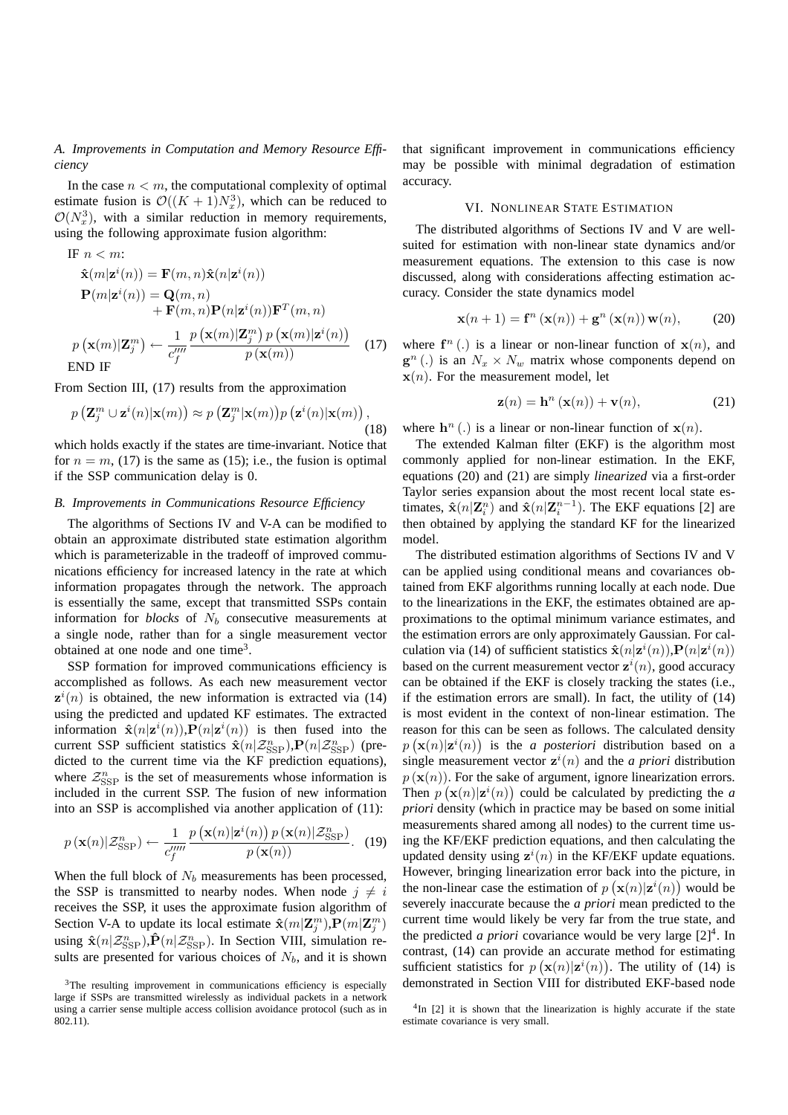# *A. Improvements in Computation and Memory Resource Efficiency*

In the case  $n < m$ , the computational complexity of optimal estimate fusion is  $\mathcal{O}((K+1)N_x^3)$ , which can be reduced to  $\mathcal{O}(N_x^3)$ , with a similar reduction in memory requirements, using the following approximate fusion algorithm:

IF 
$$
n < m
$$
:  
\n
$$
\hat{\mathbf{x}}(m|\mathbf{z}^{i}(n)) = \mathbf{F}(m, n)\hat{\mathbf{x}}(n|\mathbf{z}^{i}(n))
$$
\n
$$
\mathbf{P}(m|\mathbf{z}^{i}(n)) = \mathbf{Q}(m, n)
$$
\n
$$
+ \mathbf{F}(m, n)\mathbf{P}(n|\mathbf{z}^{i}(n))\mathbf{F}^{T}(m, n)
$$
\n
$$
p(\mathbf{x}(m)|\mathbf{Z}_{j}^{m}) \leftarrow \frac{1}{c_{j}^{mn}} \frac{p(\mathbf{x}(m)|\mathbf{Z}_{j}^{m}) p(\mathbf{x}(m)|\mathbf{z}^{i}(n))}{p(\mathbf{x}(m))}
$$
\n
$$
(17)
$$
\nEND IF

From Section III, (17) results from the approximation

$$
p\left(\mathbf{Z}_{j}^{m} \cup \mathbf{z}^{i}(n)|\mathbf{x}(m)\right) \approx p\left(\mathbf{Z}_{j}^{m}|\mathbf{x}(m)\right)p\left(\mathbf{z}^{i}(n)|\mathbf{x}(m)\right),\tag{18}
$$

which holds exactly if the states are time-invariant. Notice that for  $n = m$ , (17) is the same as (15); i.e., the fusion is optimal if the SSP communication delay is 0.

# *B. Improvements in Communications Resource Efficiency*

The algorithms of Sections IV and V-A can be modified to obtain an approximate distributed state estimation algorithm which is parameterizable in the tradeoff of improved communications efficiency for increased latency in the rate at which information propagates through the network. The approach is essentially the same, except that transmitted SSPs contain information for *blocks* of  $N_b$  consecutive measurements at a single node, rather than for a single measurement vector obtained at one node and one time<sup>3</sup>.

SSP formation for improved communications efficiency is accomplished as follows. As each new measurement vector  $z^{i}(n)$  is obtained, the new information is extracted via (14) using the predicted and updated KF estimates. The extracted information  $\hat{\mathbf{x}}(n|\mathbf{z}^i(n))$ ,  $\mathbf{P}(n|\mathbf{z}^i(n))$  is then fused into the current SSP sufficient statistics  $\hat{\mathbf{x}}(n|\mathcal{Z}^n_{\mathrm{SSP}})$ ,  $\mathbf{P}(n|\mathcal{Z}^n_{\mathrm{SSP}})$  (predicted to the current time via the KF prediction equations), where  $\mathcal{Z}_\text{SSP}^n$  is the set of measurements whose information is included in the current SSP. The fusion of new information into an SSP is accomplished via another application of (11):

$$
p\left(\mathbf{x}(n)|\mathcal{Z}_{\rm SSP}^n\right) \leftarrow \frac{1}{c_f^{\prime\prime\prime\prime\prime}} \frac{p\left(\mathbf{x}(n)|\mathbf{z}^i(n)\right)p\left(\mathbf{x}(n)|\mathcal{Z}_{\rm SSP}^n\right)}{p\left(\mathbf{x}(n)\right)}.\tag{19}
$$

When the full block of  $N_b$  measurements has been processed, the SSP is transmitted to nearby nodes. When node  $j \neq i$ receives the SSP, it uses the approximate fusion algorithm of Section V-A to update its local estimate  $\hat{\mathbf{x}}(m|\mathbf{Z}_{j}^{m})$ ,  $\mathbf{P}(m|\mathbf{Z}_{j}^{m})$ using  $\hat{\mathbf{x}}(n|Z^n_{\text{SSP}})$ ,  $\hat{\mathbf{P}}(n|Z^n_{\text{SSP}})$ . In Section VIII, simulation results are presented for various choices of  $N_b$ , and it is shown

that significant improvement in communications efficiency may be possible with minimal degradation of estimation accuracy.

#### VI. NONLINEAR STATE ESTIMATION

The distributed algorithms of Sections IV and V are wellsuited for estimation with non-linear state dynamics and/or measurement equations. The extension to this case is now discussed, along with considerations affecting estimation accuracy. Consider the state dynamics model

$$
\mathbf{x}(n+1) = \mathbf{f}^n\left(\mathbf{x}(n)\right) + \mathbf{g}^n\left(\mathbf{x}(n)\right)\mathbf{w}(n),\tag{20}
$$

where  $f^{n}$  (.) is a linear or non-linear function of  $x(n)$ , and  $\mathbf{g}^n(.)$  is an  $N_x \times N_w$  matrix whose components depend on  $x(n)$ . For the measurement model, let

$$
\mathbf{z}(n) = \mathbf{h}^n \left( \mathbf{x}(n) \right) + \mathbf{v}(n), \tag{21}
$$

where  $\mathbf{h}^n$  (.) is a linear or non-linear function of  $\mathbf{x}(n)$ .

The extended Kalman filter (EKF) is the algorithm most commonly applied for non-linear estimation. In the EKF, equations (20) and (21) are simply *linearized* via a first-order Taylor series expansion about the most recent local state estimates,  $\hat{\mathbf{x}}(n|\mathbf{Z}_{i}^{n})$  and  $\hat{\mathbf{x}}(n|\mathbf{Z}_{i}^{n-1})$ . The EKF equations [2] are then obtained by applying the standard KF for the linearized model.

The distributed estimation algorithms of Sections IV and V can be applied using conditional means and covariances obtained from EKF algorithms running locally at each node. Due to the linearizations in the EKF, the estimates obtained are approximations to the optimal minimum variance estimates, and the estimation errors are only approximately Gaussian. For calculation via (14) of sufficient statistics  $\hat{\mathbf{x}}(n|\mathbf{z}^i(n))$ ,  $\mathbf{P}(n|\mathbf{z}^i(n))$ based on the current measurement vector  $\mathbf{z}^{i}(n)$ , good accuracy can be obtained if the EKF is closely tracking the states (i.e., if the estimation errors are small). In fact, the utility of (14) is most evident in the context of non-linear estimation. The reason for this can be seen as follows. The calculated density  $p(\mathbf{x}(n)|\mathbf{z}^i(n))$  is the *a posteriori* distribution based on a single measurement vector  $z^{i}(n)$  and the *a priori* distribution  $p(\mathbf{x}(n))$ . For the sake of argument, ignore linearization errors. Then  $p(\mathbf{x}(n)|\mathbf{z}^i(n))$  could be calculated by predicting the *a priori* density (which in practice may be based on some initial measurements shared among all nodes) to the current time using the KF/EKF prediction equations, and then calculating the updated density using  $z^{i}(n)$  in the KF/EKF update equations. However, bringing linearization error back into the picture, in the non-linear case the estimation of  $p(\mathbf{x}(n)|\mathbf{z}^i(n))$  would be severely inaccurate because the *a priori* mean predicted to the current time would likely be very far from the true state, and the predicted *a priori* covariance would be very large  $[2]^4$ . In contrast, (14) can provide an accurate method for estimating sufficient statistics for  $p(\mathbf{x}(n)|\mathbf{z}^i(n))$ . The utility of (14) is demonstrated in Section VIII for distributed EKF-based node

<sup>&</sup>lt;sup>3</sup>The resulting improvement in communications efficiency is especially large if SSPs are transmitted wirelessly as individual packets in a network using a carrier sense multiple access collision avoidance protocol (such as in 802.11).

<sup>&</sup>lt;sup>4</sup>In [2] it is shown that the linearization is highly accurate if the state estimate covariance is very small.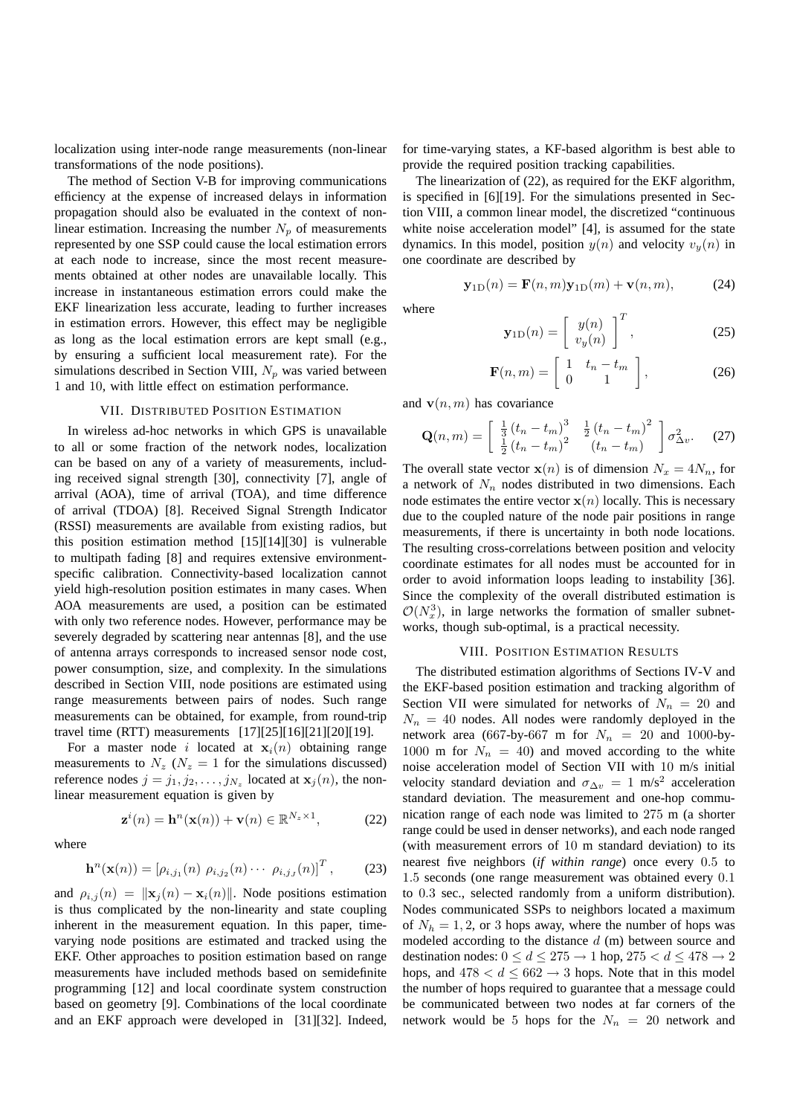localization using inter-node range measurements (non-linear transformations of the node positions).

The method of Section V-B for improving communications efficiency at the expense of increased delays in information propagation should also be evaluated in the context of nonlinear estimation. Increasing the number  $N_p$  of measurements represented by one SSP could cause the local estimation errors at each node to increase, since the most recent measurements obtained at other nodes are unavailable locally. This increase in instantaneous estimation errors could make the EKF linearization less accurate, leading to further increases in estimation errors. However, this effect may be negligible as long as the local estimation errors are kept small (e.g., by ensuring a sufficient local measurement rate). For the simulations described in Section VIII,  $N_p$  was varied between 1 and 10, with little effect on estimation performance.

#### VII. DISTRIBUTED POSITION ESTIMATION

In wireless ad-hoc networks in which GPS is unavailable to all or some fraction of the network nodes, localization can be based on any of a variety of measurements, including received signal strength [30], connectivity [7], angle of arrival (AOA), time of arrival (TOA), and time difference of arrival (TDOA) [8]. Received Signal Strength Indicator (RSSI) measurements are available from existing radios, but this position estimation method [15][14][30] is vulnerable to multipath fading [8] and requires extensive environmentspecific calibration. Connectivity-based localization cannot yield high-resolution position estimates in many cases. When AOA measurements are used, a position can be estimated with only two reference nodes. However, performance may be severely degraded by scattering near antennas [8], and the use of antenna arrays corresponds to increased sensor node cost, power consumption, size, and complexity. In the simulations described in Section VIII, node positions are estimated using range measurements between pairs of nodes. Such range measurements can be obtained, for example, from round-trip travel time (RTT) measurements [17][25][16][21][20][19].

For a master node i located at  $x_i(n)$  obtaining range measurements to  $N_z$  ( $N_z = 1$  for the simulations discussed) reference nodes  $j = j_1, j_2, \dots, j_{N_z}$  located at  $\mathbf{x}_j(n)$ , the nonlinear measurement equation is given by

$$
\mathbf{z}^{i}(n) = \mathbf{h}^{n}(\mathbf{x}(n)) + \mathbf{v}(n) \in \mathbb{R}^{N_z \times 1},
$$
 (22)

where

$$
\mathbf{h}^{n}(\mathbf{x}(n)) = [\rho_{i,j_1}(n) \ \rho_{i,j_2}(n) \cdots \ \rho_{i,j_J}(n)]^{T}, \qquad (23)
$$

and  $\rho_{i,j}(n) = ||\mathbf{x}_j(n) - \mathbf{x}_i(n)||$ . Node positions estimation is thus complicated by the non-linearity and state coupling inherent in the measurement equation. In this paper, timevarying node positions are estimated and tracked using the EKF. Other approaches to position estimation based on range measurements have included methods based on semidefinite programming [12] and local coordinate system construction based on geometry [9]. Combinations of the local coordinate and an EKF approach were developed in [31][32]. Indeed,

for time-varying states, a KF-based algorithm is best able to provide the required position tracking capabilities.

The linearization of (22), as required for the EKF algorithm, is specified in [6][19]. For the simulations presented in Section VIII, a common linear model, the discretized "continuous white noise acceleration model" [4], is assumed for the state dynamics. In this model, position  $y(n)$  and velocity  $v_n(n)$  in one coordinate are described by

where

$$
\mathbf{y}_{1D}(n) = \mathbf{F}(n, m)\mathbf{y}_{1D}(m) + \mathbf{v}(n, m), \tag{24}
$$

$$
\mathbf{y}_{1\text{D}}(n) = \left[ \begin{array}{c} y(n) \\ v_y(n) \end{array} \right]^T, \tag{25}
$$

$$
\mathbf{F}(n,m) = \left[ \begin{array}{cc} 1 & t_n - t_m \\ 0 & 1 \end{array} \right],\tag{26}
$$

and  $\mathbf{v}(n,m)$  has covariance

$$
\mathbf{Q}(n,m) = \begin{bmatrix} \frac{1}{3} (t_n - t_m)^3 & \frac{1}{2} (t_n - t_m)^2 \\ \frac{1}{2} (t_n - t_m)^2 & (t_n - t_m) \end{bmatrix} \sigma_{\Delta v}^2.
$$
 (27)

The overall state vector  $\mathbf{x}(n)$  is of dimension  $N_x = 4N_n$ , for a network of  $N_n$  nodes distributed in two dimensions. Each node estimates the entire vector  $x(n)$  locally. This is necessary due to the coupled nature of the node pair positions in range measurements, if there is uncertainty in both node locations. The resulting cross-correlations between position and velocity coordinate estimates for all nodes must be accounted for in order to avoid information loops leading to instability [36]. Since the complexity of the overall distributed estimation is  $\mathcal{O}(N_x^3)$ , in large networks the formation of smaller subnetworks, though sub-optimal, is a practical necessity.

#### VIII. POSITION ESTIMATION RESULTS

The distributed estimation algorithms of Sections IV-V and the EKF-based position estimation and tracking algorithm of Section VII were simulated for networks of  $N_n = 20$  and  $N_n = 40$  nodes. All nodes were randomly deployed in the network area (667-by-667 m for  $N_n = 20$  and 1000-by-1000 m for  $N_n = 40$ ) and moved according to the white noise acceleration model of Section VII with 10 m/s initial velocity standard deviation and  $\sigma_{\Delta v} = 1$  m/s<sup>2</sup> acceleration standard deviation. The measurement and one-hop communication range of each node was limited to 275 m (a shorter range could be used in denser networks), and each node ranged (with measurement errors of 10 m standard deviation) to its nearest five neighbors (*if within range*) once every 0.5 to 1.5 seconds (one range measurement was obtained every 0.1 to 0.3 sec., selected randomly from a uniform distribution). Nodes communicated SSPs to neighbors located a maximum of  $N_h = 1, 2$ , or 3 hops away, where the number of hops was modeled according to the distance  $d$  (m) between source and destination nodes:  $0 \le d \le 275 \rightarrow 1$  hop,  $275 < d \le 478 \rightarrow 2$ hops, and  $478 < d \leq 662 \rightarrow 3$  hops. Note that in this model the number of hops required to guarantee that a message could be communicated between two nodes at far corners of the network would be 5 hops for the  $N_n = 20$  network and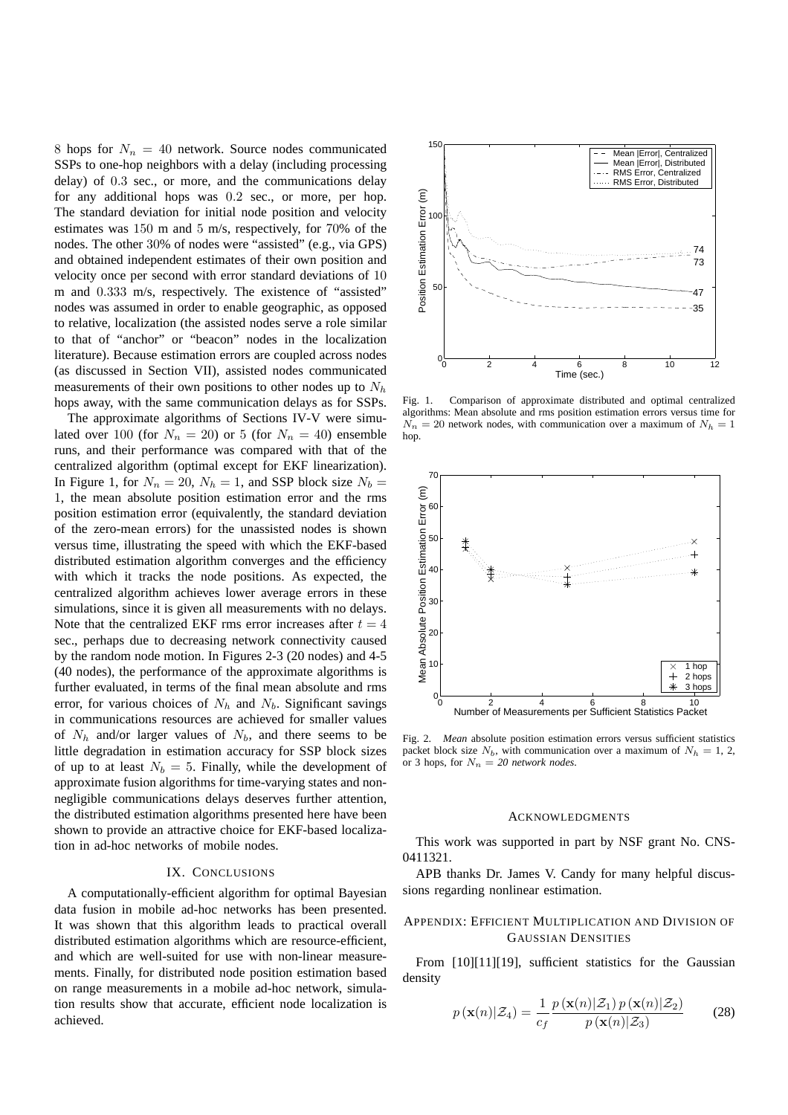8 hops for  $N_n = 40$  network. Source nodes communicated SSPs to one-hop neighbors with a delay (including processing delay) of 0.3 sec., or more, and the communications delay for any additional hops was 0.2 sec., or more, per hop. The standard deviation for initial node position and velocity estimates was 150 m and 5 m/s, respectively, for 70% of the nodes. The other 30% of nodes were "assisted" (e.g., via GPS) and obtained independent estimates of their own position and velocity once per second with error standard deviations of 10 m and  $0.333$  m/s, respectively. The existence of "assisted" nodes was assumed in order to enable geographic, as opposed to relative, localization (the assisted nodes serve a role similar to that of "anchor" or "beacon" nodes in the localization literature). Because estimation errors are coupled across nodes (as discussed in Section VII), assisted nodes communicated measurements of their own positions to other nodes up to  $N_h$ hops away, with the same communication delays as for SSPs.

The approximate algorithms of Sections IV-V were simulated over 100 (for  $N_n = 20$ ) or 5 (for  $N_n = 40$ ) ensemble runs, and their performance was compared with that of the centralized algorithm (optimal except for EKF linearization). In Figure 1, for  $N_n = 20$ ,  $N_h = 1$ , and SSP block size  $N_b =$ 1, the mean absolute position estimation error and the rms position estimation error (equivalently, the standard deviation of the zero-mean errors) for the unassisted nodes is shown versus time, illustrating the speed with which the EKF-based distributed estimation algorithm converges and the efficiency with which it tracks the node positions. As expected, the centralized algorithm achieves lower average errors in these simulations, since it is given all measurements with no delays. Note that the centralized EKF rms error increases after  $t = 4$ sec., perhaps due to decreasing network connectivity caused by the random node motion. In Figures 2-3 (20 nodes) and 4-5 (40 nodes), the performance of the approximate algorithms is further evaluated, in terms of the final mean absolute and rms error, for various choices of  $N_h$  and  $N_b$ . Significant savings in communications resources are achieved for smaller values of  $N_h$  and/or larger values of  $N_b$ , and there seems to be little degradation in estimation accuracy for SSP block sizes of up to at least  $N_b = 5$ . Finally, while the development of approximate fusion algorithms for time-varying states and nonnegligible communications delays deserves further attention, the distributed estimation algorithms presented here have been shown to provide an attractive choice for EKF-based localization in ad-hoc networks of mobile nodes.

#### IX. CONCLUSIONS

A computationally-efficient algorithm for optimal Bayesian data fusion in mobile ad-hoc networks has been presented. It was shown that this algorithm leads to practical overall distributed estimation algorithms which are resource-efficient, and which are well-suited for use with non-linear measurements. Finally, for distributed node position estimation based on range measurements in a mobile ad-hoc network, simulation results show that accurate, efficient node localization is achieved.



Fig. 1. Comparison of approximate distributed and optimal centralized algorithms: Mean absolute and rms position estimation errors versus time for  $\tilde{N_n} = 20$  network nodes, with communication over a maximum of  $N_h = 1$ hop.



Fig. 2. *Mean* absolute position estimation errors versus sufficient statistics packet block size  $N_b$ , with communication over a maximum of  $N_h = 1, 2$ , or 3 hops, for  $N_n = 20$  network nodes.

# ACKNOWLEDGMENTS

This work was supported in part by NSF grant No. CNS-0411321.

APB thanks Dr. James V. Candy for many helpful discussions regarding nonlinear estimation.

# APPENDIX: EFFICIENT MULTIPLICATION AND DIVISION OF GAUSSIAN DENSITIES

From [10][11][19], sufficient statistics for the Gaussian density

$$
p(\mathbf{x}(n)|\mathcal{Z}_4) = \frac{1}{c_f} \frac{p(\mathbf{x}(n)|\mathcal{Z}_1) p(\mathbf{x}(n)|\mathcal{Z}_2)}{p(\mathbf{x}(n)|\mathcal{Z}_3)} \tag{28}
$$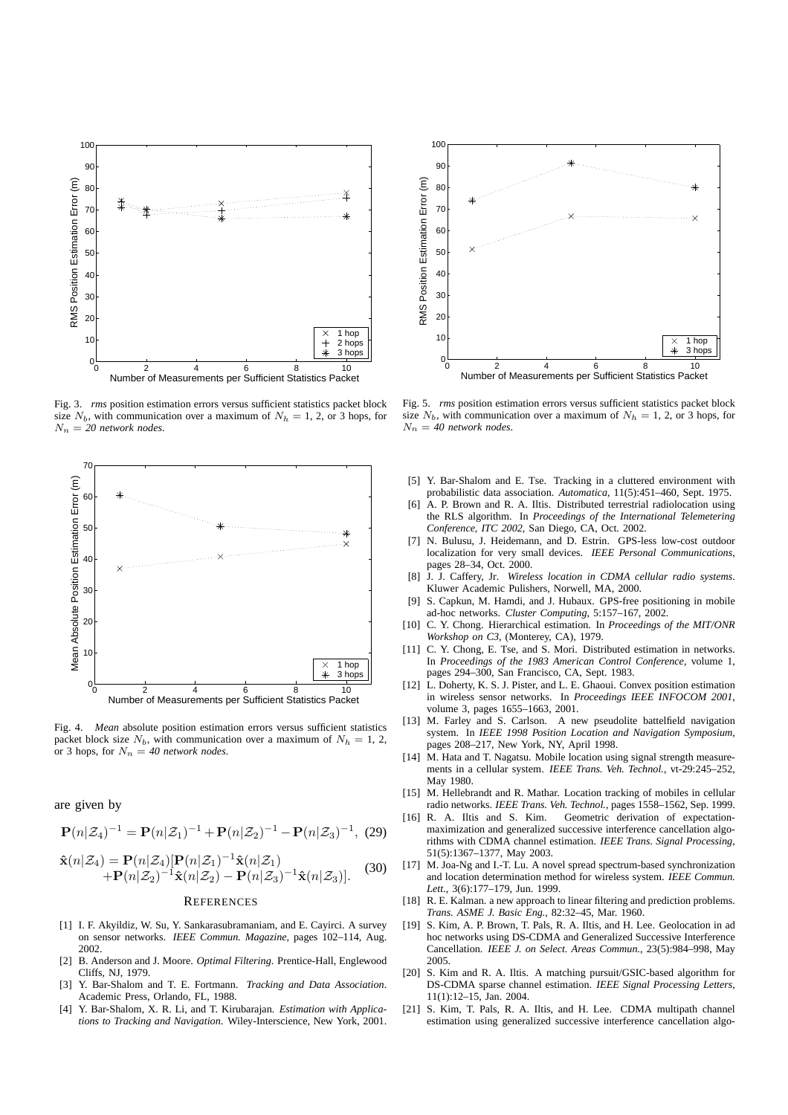

Fig. 3. *rms* position estimation errors versus sufficient statistics packet block size  $N_b$ , with communication over a maximum of  $N_h = 1, 2$ , or 3 hops, for  $N_n = 20$  network nodes.



Fig. 4. *Mean* absolute position estimation errors versus sufficient statistics packet block size  $N_b$ , with communication over a maximum of  $N_h = 1, 2$ , or 3 hops, for  $N_n = 40$  network nodes.

are given by

$$
\mathbf{P}(n|\mathcal{Z}_4)^{-1} = \mathbf{P}(n|\mathcal{Z}_1)^{-1} + \mathbf{P}(n|\mathcal{Z}_2)^{-1} - \mathbf{P}(n|\mathcal{Z}_3)^{-1}, (29)
$$

$$
\hat{\mathbf{x}}(n|\mathcal{Z}_4) = \mathbf{P}(n|\mathcal{Z}_4)[\mathbf{P}(n|\mathcal{Z}_1)^{-1}\hat{\mathbf{x}}(n|\mathcal{Z}_1) + \mathbf{P}(n|\mathcal{Z}_2)^{-1}\hat{\mathbf{x}}(n|\mathcal{Z}_2) - \mathbf{P}(n|\mathcal{Z}_3)^{-1}\hat{\mathbf{x}}(n|\mathcal{Z}_3)].
$$
\n(30)

#### **REFERENCES**

- [1] I. F. Akyildiz, W. Su, Y. Sankarasubramaniam, and E. Cayirci. A survey on sensor networks. *IEEE Commun. Magazine*, pages 102–114, Aug. 2002.
- [2] B. Anderson and J. Moore. *Optimal Filtering*. Prentice-Hall, Englewood Cliffs, NJ, 1979.
- [3] Y. Bar-Shalom and T. E. Fortmann. *Tracking and Data Association*. Academic Press, Orlando, FL, 1988.
- [4] Y. Bar-Shalom, X. R. Li, and T. Kirubarajan. *Estimation with Applications to Tracking and Navigation*. Wiley-Interscience, New York, 2001.



Fig. 5. *rms* position estimation errors versus sufficient statistics packet block size  $N_b$ , with communication over a maximum of  $N_h = 1, 2$ , or 3 hops, for  $N_n = 40$  network nodes.

- [5] Y. Bar-Shalom and E. Tse. Tracking in a cluttered environment with probabilistic data association. *Automatica*, 11(5):451–460, Sept. 1975.
- [6] A. P. Brown and R. A. Iltis. Distributed terrestrial radiolocation using the RLS algorithm. In *Proceedings of the International Telemetering Conference, ITC 2002*, San Diego, CA, Oct. 2002.
- [7] N. Bulusu, J. Heidemann, and D. Estrin. GPS-less low-cost outdoor localization for very small devices. *IEEE Personal Communications*, pages 28–34, Oct. 2000.
- [8] J. J. Caffery, Jr. *Wireless location in CDMA cellular radio systems*. Kluwer Academic Pulishers, Norwell, MA, 2000.
- [9] S. Capkun, M. Hamdi, and J. Hubaux. GPS-free positioning in mobile ad-hoc networks. *Cluster Computing*, 5:157–167, 2002.
- [10] C. Y. Chong. Hierarchical estimation. In *Proceedings of the MIT/ONR Workshop on C3*, (Monterey, CA), 1979.
- [11] C. Y. Chong, E. Tse, and S. Mori. Distributed estimation in networks. In *Proceedings of the 1983 American Control Conference*, volume 1, pages 294–300, San Francisco, CA, Sept. 1983.
- [12] L. Doherty, K. S. J. Pister, and L. E. Ghaoui. Convex position estimation in wireless sensor networks. In *Proceedings IEEE INFOCOM 2001*, volume 3, pages 1655–1663, 2001.
- [13] M. Farley and S. Carlson. A new pseudolite battelfield navigation system. In *IEEE 1998 Position Location and Navigation Symposium*, pages 208–217, New York, NY, April 1998.
- [14] M. Hata and T. Nagatsu. Mobile location using signal strength measurements in a cellular system. *IEEE Trans. Veh. Technol.*, vt-29:245–252, May 1980.
- [15] M. Hellebrandt and R. Mathar. Location tracking of mobiles in cellular radio networks. *IEEE Trans. Veh. Technol.*, pages 1558–1562, Sep. 1999.
- [16] R. A. Iltis and S. Kim. Geometric derivation of expectationmaximization and generalized successive interference cancellation algorithms with CDMA channel estimation. *IEEE Trans. Signal Processing*, 51(5):1367–1377, May 2003.
- [17] M. Joa-Ng and I.-T. Lu. A novel spread spectrum-based synchronization and location determination method for wireless system. *IEEE Commun. Lett.*, 3(6):177–179, Jun. 1999.
- [18] R. E. Kalman. a new approach to linear filtering and prediction problems. *Trans. ASME J. Basic Eng.*, 82:32–45, Mar. 1960.
- [19] S. Kim, A. P. Brown, T. Pals, R. A. Iltis, and H. Lee. Geolocation in ad hoc networks using DS-CDMA and Generalized Successive Interference Cancellation. *IEEE J. on Select. Areas Commun.*, 23(5):984–998, May 2005.
- [20] S. Kim and R. A. Iltis. A matching pursuit/GSIC-based algorithm for DS-CDMA sparse channel estimation. *IEEE Signal Processing Letters*,  $11(1):12-15$  Jan. 2004.
- [21] S. Kim, T. Pals, R. A. Iltis, and H. Lee. CDMA multipath channel estimation using generalized successive interference cancellation algo-